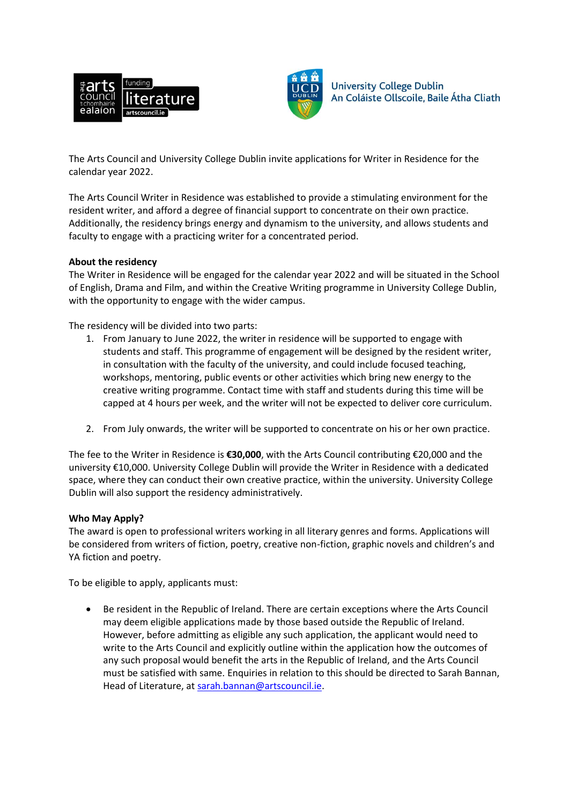



**University College Dublin** An Coláiste Ollscoile, Baile Átha Cliath

The Arts Council and University College Dublin invite applications for Writer in Residence for the calendar year 2022.

The Arts Council Writer in Residence was established to provide a stimulating environment for the resident writer, and afford a degree of financial support to concentrate on their own practice. Additionally, the residency brings energy and dynamism to the university, and allows students and faculty to engage with a practicing writer for a concentrated period.

## **About the residency**

The Writer in Residence will be engaged for the calendar year 2022 and will be situated in the School of English, Drama and Film, and within the Creative Writing programme in University College Dublin, with the opportunity to engage with the wider campus.

The residency will be divided into two parts:

- 1. From January to June 2022, the writer in residence will be supported to engage with students and staff. This programme of engagement will be designed by the resident writer, in consultation with the faculty of the university, and could include focused teaching, workshops, mentoring, public events or other activities which bring new energy to the creative writing programme. Contact time with staff and students during this time will be capped at 4 hours per week, and the writer will not be expected to deliver core curriculum.
- 2. From July onwards, the writer will be supported to concentrate on his or her own practice.

The fee to the Writer in Residence is **€30,000**, with the Arts Council contributing €20,000 and the university €10,000. University College Dublin will provide the Writer in Residence with a dedicated space, where they can conduct their own creative practice, within the university. University College Dublin will also support the residency administratively.

## **Who May Apply?**

The award is open to professional writers working in all literary genres and forms. Applications will be considered from writers of fiction, poetry, creative non-fiction, graphic novels and children's and YA fiction and poetry.

To be eligible to apply, applicants must:

 Be resident in the Republic of Ireland. There are certain exceptions where the Arts Council may deem eligible applications made by those based outside the Republic of Ireland. However, before admitting as eligible any such application, the applicant would need to write to the Arts Council and explicitly outline within the application how the outcomes of any such proposal would benefit the arts in the Republic of Ireland, and the Arts Council must be satisfied with same. Enquiries in relation to this should be directed to Sarah Bannan, Head of Literature, at [sarah.bannan@artscouncil.ie.](mailto:sarah.bannan@artscouncil.ie)